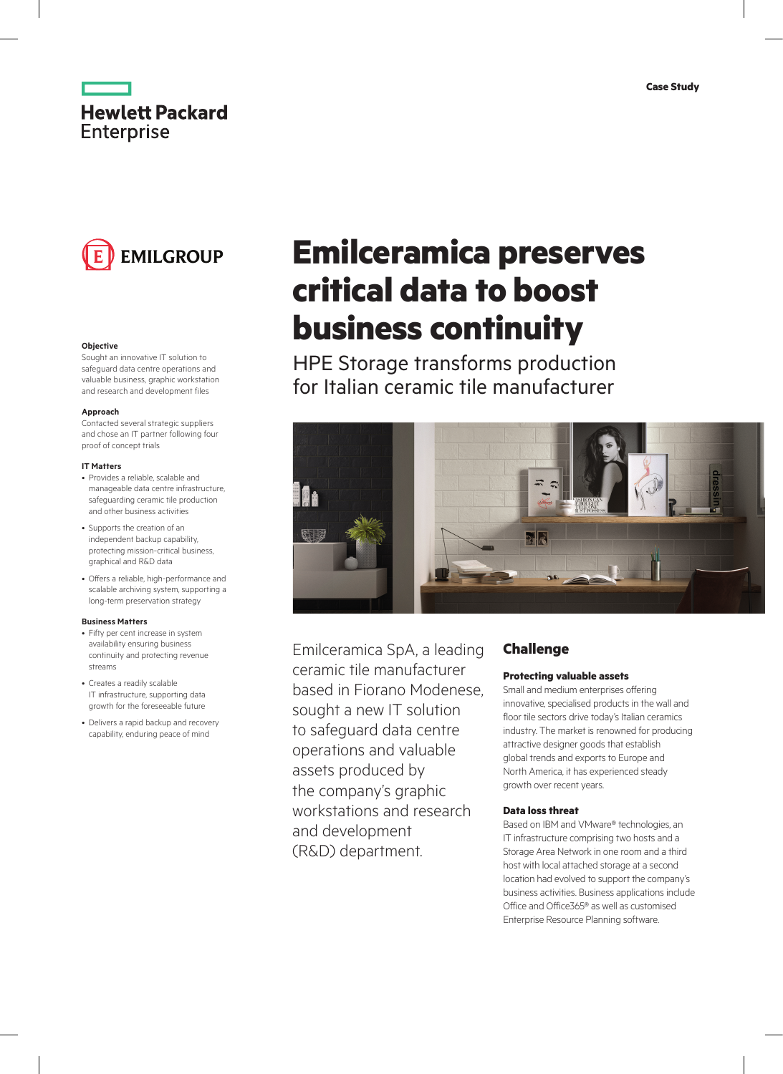



#### **Objective**

Sought an innovative IT solution to safeguard data centre operations and valuable business, graphic workstation and research and development files

#### **Approach**

Contacted several strategic suppliers and chose an IT partner following four proof of concept trials

#### **IT Matters**

- Provides a reliable, scalable and manageable data centre infrastructure, safeguarding ceramic tile production and other business activities
- Supports the creation of an independent backup capability, protecting mission-critical business, graphical and R&D data
- Offers a reliable, high-performance and scalable archiving system, supporting a long-term preservation strategy

#### **Business Matters**

- Fifty per cent increase in system availability ensuring business continuity and protecting revenue streams
- Creates a readily scalable IT infrastructure, supporting data growth for the foreseeable future
- Delivers a rapid backup and recovery capability, enduring peace of mind

# **Emilceramica preserves critical data to boost business continuity**

HPE Storage transforms production for Italian ceramic tile manufacturer



Emilceramica SpA, a leading ceramic tile manufacturer based in Fiorano Modenese, sought a new IT solution to safeguard data centre operations and valuable assets produced by the company's graphic workstations and research and development (R&D) department.

# **Challenge**

# **Protecting valuable assets**

Small and medium enterprises offering innovative, specialised products in the wall and floor tile sectors drive today's Italian ceramics industry. The market is renowned for producing attractive designer goods that establish global trends and exports to Europe and North America, it has experienced steady growth over recent years.

#### **Data loss threat**

Based on IBM and VMware® technologies, an IT infrastructure comprising two hosts and a Storage Area Network in one room and a third host with local attached storage at a second location had evolved to support the company's business activities. Business applications include Office and Office365® as well as customised Enterprise Resource Planning software.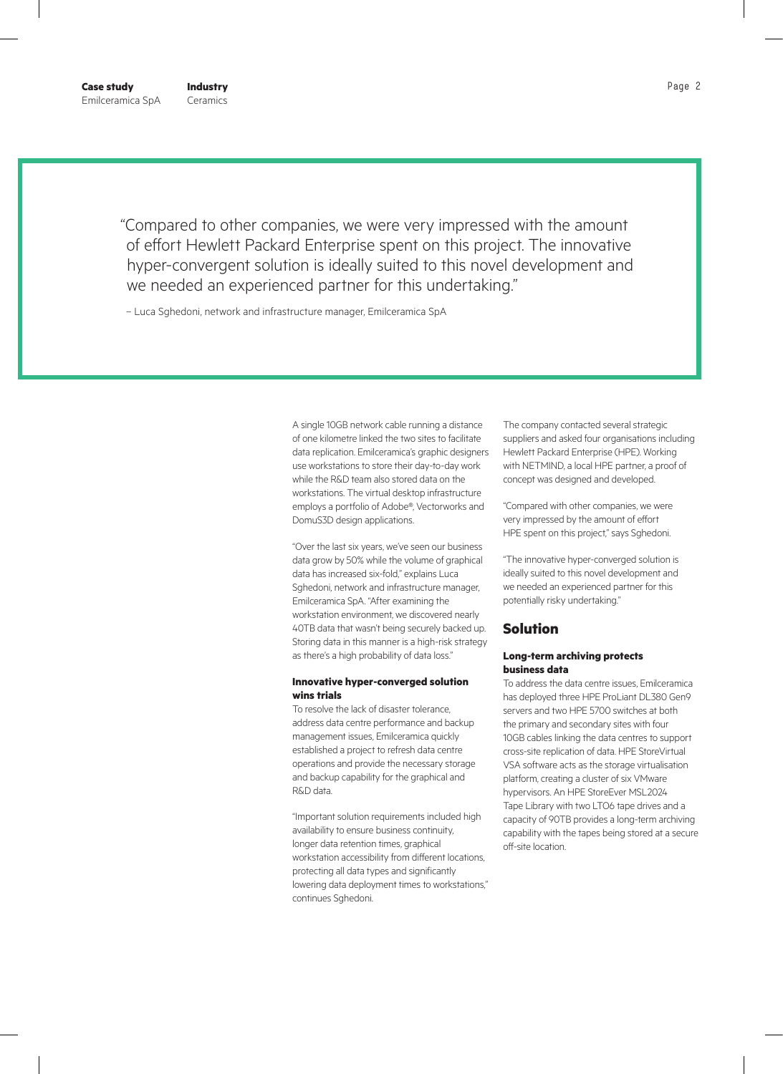**Industry** Ceramics

"Compared to other companies, we were very impressed with the amount of effort Hewlett Packard Enterprise spent on this project. The innovative hyper-convergent solution is ideally suited to this novel development and we needed an experienced partner for this undertaking."

– Luca Sghedoni, network and infrastructure manager, Emilceramica SpA

A single 10GB network cable running a distance of one kilometre linked the two sites to facilitate data replication. Emilceramica's graphic designers use workstations to store their day-to-day work while the R&D team also stored data on the workstations. The virtual desktop infrastructure employs a portfolio of Adobe®, Vectorworks and DomuS3D design applications.

"Over the last six years, we've seen our business data grow by 50% while the volume of graphical data has increased six-fold," explains Luca Sghedoni, network and infrastructure manager, Emilceramica SpA. "After examining the workstation environment, we discovered nearly 40TB data that wasn't being securely backed up. Storing data in this manner is a high-risk strategy as there's a high probability of data loss."

### **Innovative hyper-converged solution wins trials**

To resolve the lack of disaster tolerance, address data centre performance and backup management issues, Emilceramica quickly established a project to refresh data centre operations and provide the necessary storage and backup capability for the graphical and R&D data.

"Important solution requirements included high availability to ensure business continuity, longer data retention times, graphical workstation accessibility from different locations, protecting all data types and significantly lowering data deployment times to workstations," continues Sghedoni.

The company contacted several strategic suppliers and asked four organisations including Hewlett Packard Enterprise (HPE). Working with NETMIND, a local HPE partner, a proof of concept was designed and developed.

"Compared with other companies, we were very impressed by the amount of effort HPE spent on this project," says Sghedoni.

"The innovative hyper-converged solution is ideally suited to this novel development and we needed an experienced partner for this potentially risky undertaking."

# **Solution**

## **Long-term archiving protects business data**

To address the data centre issues, Emilceramica has deployed three HPE ProLiant DL380 Gen9 servers and two HPE 5700 switches at both the primary and secondary sites with four 10GB cables linking the data centres to support cross-site replication of data. HPE StoreVirtual VSA software acts as the storage virtualisation platform, creating a cluster of six VMware hypervisors. An HPE StoreEver MSL2024 Tape Library with two LTO6 tape drives and a capacity of 90TB provides a long-term archiving capability with the tapes being stored at a secure off-site location.